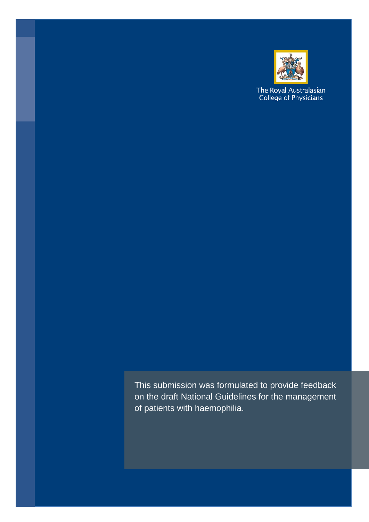

The Royal Australasian<br>College of Physicians

This submission was formulated to provide feedback on the draft National Guidelines for the management of patients with haemophilia.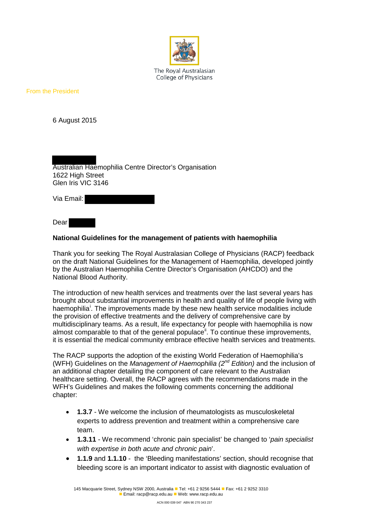

The Roval Australasian College of Physicians

From the President

6 August 2015

Australian Haemophilia Centre Director's Organisation 1622 High Street Glen Iris VIC 3146

Via Email:

Dear

## **National Guidelines for the management of patients with haemophilia**

Thank you for seeking The Royal Australasian College of Physicians (RACP) feedback on the draft National Guidelines for the Management of Haemophilia, developed jointly by the Australian Haemophilia Centre Director's Organisation (AHCDO) and the National Blood Authority.

The introduction of new health services and treatments over the last several years has brought about substantial improvements in health and quality of life of people living with haemoph[i](#page-2-0)lia<sup>i</sup>. The improvements made by these new health service modalities include the provision of effective treatments and the delivery of comprehensive care by multidisciplinary teams. As a result, life expectancy for people with haemophilia is now almost comparable to that of the general populace<sup>"</sup>. To continue these improvements, it is essential the medical community embrace effective health services and treatments.

The RACP supports the adoption of the existing World Federation of Haemophilia's (WFH) Guidelines on the *Management of Haemophilia (2nd Edition)* and the inclusion of an additional chapter detailing the component of care relevant to the Australian healthcare setting. Overall, the RACP agrees with the recommendations made in the WFH's Guidelines and makes the following comments concerning the additional chapter:

- **1.3.7** We welcome the inclusion of rheumatologists as musculoskeletal experts to address prevention and treatment within a comprehensive care team.
- **1.3.11** We recommend 'chronic pain specialist' be changed to '*pain specialist with expertise in both acute and chronic pain*'.
- **1.1.9** and **1.1.10** the 'Bleeding manifestations' section, should recognise that bleeding score is an important indicator to assist with diagnostic evaluation of

145 Macquarie Street, Sydney NSW 2000, Australia **Tel: +61 2 9256 5444 Fax: +61 2 9252 3310 Email: racp@racp.edu.au Web: www.racp.edu.au**